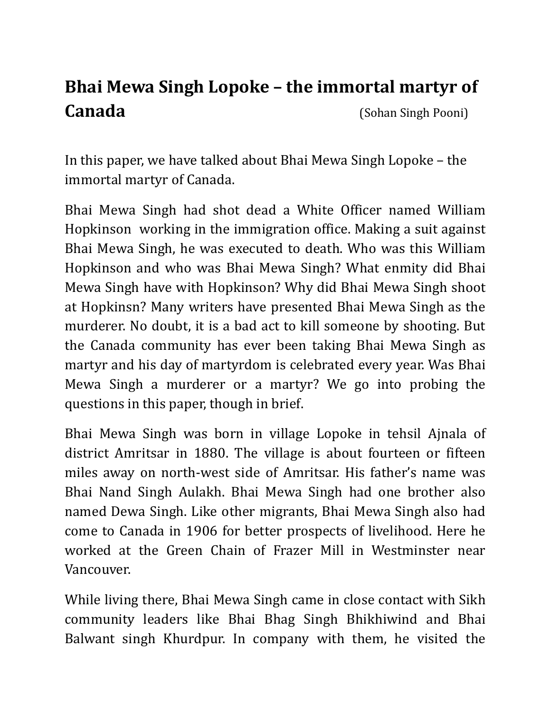## **Bhai Mewa Singh Lopoke – the immortal martyr of Canada** (Sohan Singh Pooni)

In this paper, we have talked about Bhai Mewa Singh Lopoke – the immortal martyr of Canada.

Bhai Mewa Singh had shot dead a White Officer named William Hopkinson working in the immigration office. Making a suit against Bhai Mewa Singh, he was executed to death. Who was this William Hopkinson and who was Bhai Mewa Singh? What enmity did Bhai Mewa Singh have with Hopkinson? Why did Bhai Mewa Singh shoot at Hopkinsn? Many writers have presented Bhai Mewa Singh as the murderer. No doubt, it is a bad act to kill someone by shooting. But the Canada community has ever been taking Bhai Mewa Singh as martyr and his day of martyrdom is celebrated every year. Was Bhai Mewa Singh a murderer or a martyr? We go into probing the questions in this paper, though in brief.

Bhai Mewa Singh was born in village Lopoke in tehsil Ajnala of district Amritsar in 1880. The village is about fourteen or fifteen miles away on north-west side of Amritsar. His father's name was Bhai Nand Singh Aulakh. Bhai Mewa Singh had one brother also named Dewa Singh. Like other migrants, Bhai Mewa Singh also had come to Canada in 1906 for better prospects of livelihood. Here he worked at the Green Chain of Frazer Mill in Westminster near Vancouver.

While living there, Bhai Mewa Singh came in close contact with Sikh community leaders like Bhai Bhag Singh Bhikhiwind and Bhai Balwant singh Khurdpur. In company with them, he visited the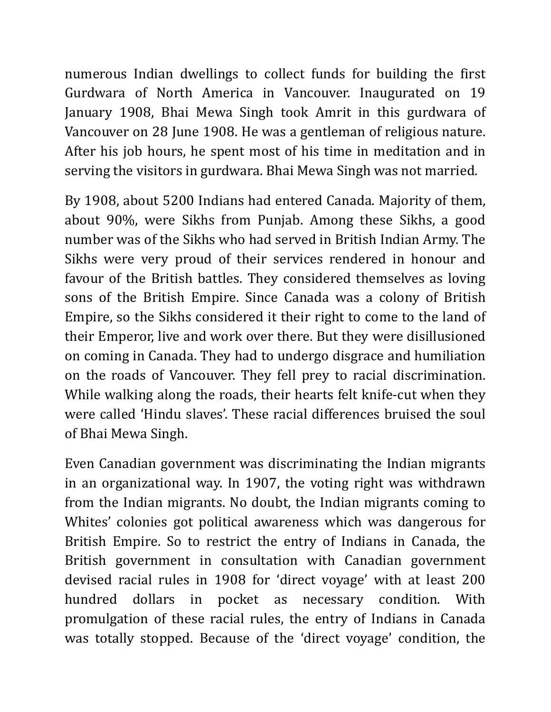numerous Indian dwellings to collect funds for building the first Gurdwara of North America in Vancouver. Inaugurated on 19 January 1908, Bhai Mewa Singh took Amrit in this gurdwara of Vancouver on 28 June 1908. He was a gentleman of religious nature. After his job hours, he spent most of his time in meditation and in serving the visitors in gurdwara. Bhai Mewa Singh was not married.

By 1908, about 5200 Indians had entered Canada. Majority of them, about 90%, were Sikhs from Punjab. Among these Sikhs, a good number was of the Sikhs who had served in British Indian Army. The Sikhs were very proud of their services rendered in honour and favour of the British battles. They considered themselves as loving sons of the British Empire. Since Canada was a colony of British Empire, so the Sikhs considered it their right to come to the land of their Emperor, live and work over there. But they were disillusioned on coming in Canada. They had to undergo disgrace and humiliation on the roads of Vancouver. They fell prey to racial discrimination. While walking along the roads, their hearts felt knife-cut when they were called 'Hindu slaves'. These racial differences bruised the soul of Bhai Mewa Singh.

Even Canadian government was discriminating the Indian migrants in an organizational way. In 1907, the voting right was withdrawn from the Indian migrants. No doubt, the Indian migrants coming to Whites' colonies got political awareness which was dangerous for British Empire. So to restrict the entry of Indians in Canada, the British government in consultation with Canadian government devised racial rules in 1908 for 'direct voyage' with at least 200 hundred dollars in pocket as necessary condition. With promulgation of these racial rules, the entry of Indians in Canada was totally stopped. Because of the 'direct voyage' condition, the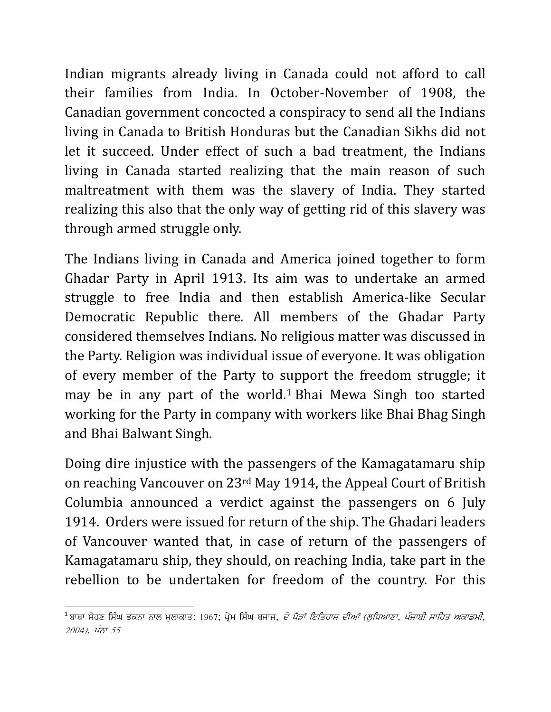Indian migrants already living in Canada could not afford to call their families from India. In October-November of 1908, the Canadian government concocted a conspiracy to send all the Indians living in Canada to British Honduras but the Canadian Sikhs did not let it succeed. Under effect of such a bad treatment, the Indians living in Canada started realizing that the main reason of such maltreatment with them was the slavery of India. They started realizing this also that the only way of getting rid of this slavery was through armed struggle only.

The Indians living in Canada and America joined together to form Ghadar Party in April 1913. Its aim was to undertake an armed struggle to free India and then establish America-like Secular Democratic Republic there. All members of the Ghadar Party considered themselves Indians. No religious matter was discussed in the Party. Religion was individual issue of everyone. It was obligation of every member of the Party to s[u](#page-2-0)pport the freedom struggle; it may be in any part of the world.<sup>1</sup> Bhai Mewa Singh too started working for the Party in company with workers like Bhai Bhag Singh and Bhai Balwant Singh.

Doing dire injustice with the passengers of the Kamagatamaru ship on reaching Vancouver on 23rd May 1914, the Appeal Court of British Columbia announced a verdict against the passengers on 6 July 1914. Orders were issued for return of the ship. The Ghadari leaders of Vancouver wanted that, in case of return of the passengers of Kamagatamaru ship, they should, on reaching India, take part in the rebellion to be undertaken for freedom of the country. For this

<span id="page-2-0"></span> $^{\rm 1}$ ਬਾਬਾ ਸੋਹਣ ਸਿੰਘ ਭਕਨਾ ਨਾਲ ਮਲਾਕਾਤ $:$  1967; ਪ੍ਰੇਮ ਸਿੰਘ ਬਜਾਜ, *ਦੋ ਪੈੜਾਂ ਇਤਿਹਾਸ ਦੀਆਂ (ਲਧਿਆਣਾ, ਪੰਜਾਬੀ ਸਾਹਿਤ ਅਕਾਡਮੀ*,  $2004$ ),  $\hat{V}$ ਨਾ 55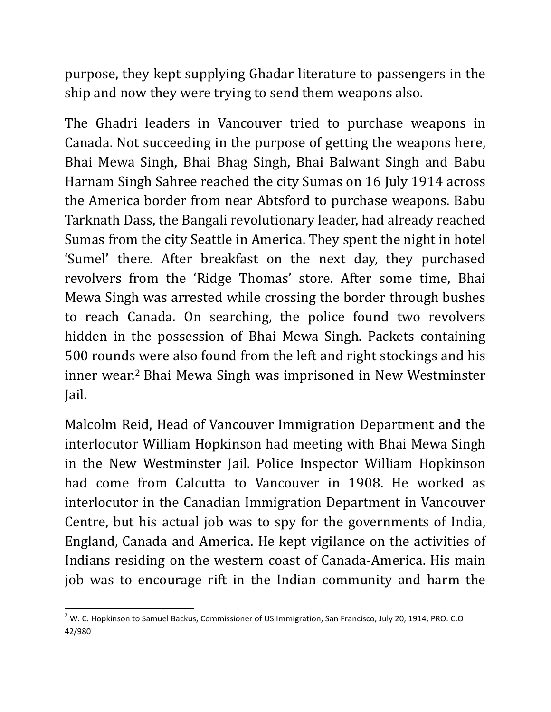purpose, they kept supplying Ghadar literature to passengers in the ship and now they were trying to send them weapons also.

The Ghadri leaders in Vancouver tried to purchase weapons in Canada. Not succeeding in the purpose of getting the weapons here, Bhai Mewa Singh, Bhai Bhag Singh, Bhai Balwant Singh and Babu Harnam Singh Sahree reached the city Sumas on 16 July 1914 across the America border from near Abtsford to purchase weapons. Babu Tarknath Dass, the Bangali revolutionary leader, had already reached Sumas from the city Seattle in America. They spent the night in hotel 'Sumel' there. After breakfast on the next day, they purchased revolvers from the 'Ridge Thomas' store. After some time, Bhai Mewa Singh was arrested while crossing the border through bushes to reach Canada. On searching, the police found two revolvers hidden in the possession of Bhai Mewa Singh. Packets containing 500 rounds were also found from the left and right stockings and his inner wear.[2](#page-3-0) Bhai Mewa Singh was imprisoned in New Westminster Jail.

Malcolm Reid, Head of Vancouver Immigration Department and the interlocutor William Hopkinson had meeting with Bhai Mewa Singh in the New Westminster Jail. Police Inspector William Hopkinson had come from Calcutta to Vancouver in 1908. He worked as interlocutor in the Canadian Immigration Department in Vancouver Centre, but his actual job was to spy for the governments of India, England, Canada and America. He kept vigilance on the activities of Indians residing on the western coast of Canada-America. His main job was to encourage rift in the Indian community and harm the

<span id="page-3-0"></span> $2$  W. C. Hopkinson to Samuel Backus, Commissioner of US Immigration, San Francisco, July 20, 1914, PRO. C.O 42/980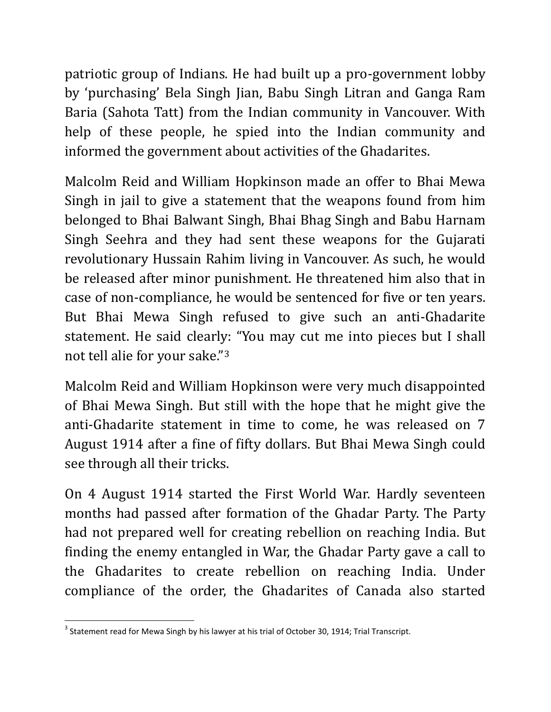patriotic group of Indians. He had built up a pro-government lobby by 'purchasing' Bela Singh Jian, Babu Singh Litran and Ganga Ram Baria (Sahota Tatt) from the Indian community in Vancouver. With help of these people, he spied into the Indian community and informed the government about activities of the Ghadarites.

Malcolm Reid and William Hopkinson made an offer to Bhai Mewa Singh in jail to give a statement that the weapons found from him belonged to Bhai Balwant Singh, Bhai Bhag Singh and Babu Harnam Singh Seehra and they had sent these weapons for the Gujarati revolutionary Hussain Rahim living in Vancouver. As such, he would be released after minor punishment. He threatened him also that in case of non-compliance, he would be sentenced for five or ten years. But Bhai Mewa Singh refused to give such an anti-Ghadarite statement. He said clearly: "You may cut me into pieces but I shall not tell alie for your sake."[3](#page-4-0)

Malcolm Reid and William Hopkinson were very much disappointed of Bhai Mewa Singh. But still with the hope that he might give the anti-Ghadarite statement in time to come, he was released on 7 August 1914 after a fine of fifty dollars. But Bhai Mewa Singh could see through all their tricks.

On 4 August 1914 started the First World War. Hardly seventeen months had passed after formation of the Ghadar Party. The Party had not prepared well for creating rebellion on reaching India. But finding the enemy entangled in War, the Ghadar Party gave a call to the Ghadarites to create rebellion on reaching India. Under compliance of the order, the Ghadarites of Canada also started

<span id="page-4-0"></span> $3$  Statement read for Mewa Singh by his lawyer at his trial of October 30, 1914; Trial Transcript.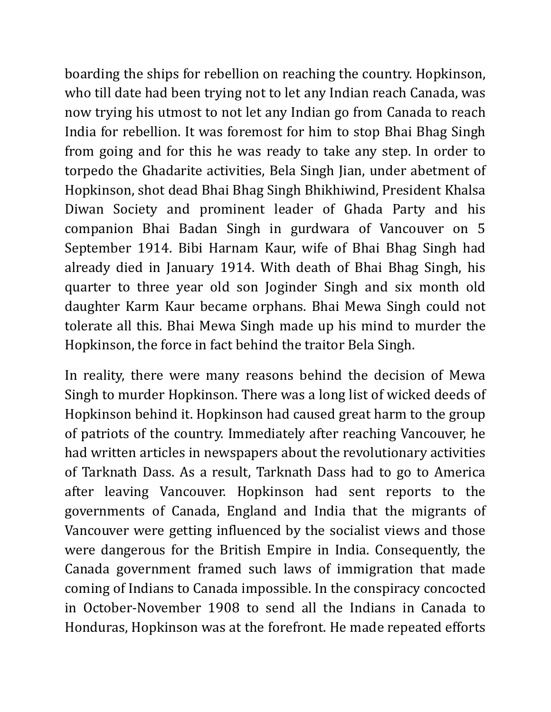boarding the ships for rebellion on reaching the country. Hopkinson, who till date had been trying not to let any Indian reach Canada, was now trying his utmost to not let any Indian go from Canada to reach India for rebellion. It was foremost for him to stop Bhai Bhag Singh from going and for this he was ready to take any step. In order to torpedo the Ghadarite activities, Bela Singh Jian, under abetment of Hopkinson, shot dead Bhai Bhag Singh Bhikhiwind, President Khalsa Diwan Society and prominent leader of Ghada Party and his companion Bhai Badan Singh in gurdwara of Vancouver on 5 September 1914. Bibi Harnam Kaur, wife of Bhai Bhag Singh had already died in January 1914. With death of Bhai Bhag Singh, his quarter to three year old son Joginder Singh and six month old daughter Karm Kaur became orphans. Bhai Mewa Singh could not tolerate all this. Bhai Mewa Singh made up his mind to murder the Hopkinson, the force in fact behind the traitor Bela Singh.

In reality, there were many reasons behind the decision of Mewa Singh to murder Hopkinson. There was a long list of wicked deeds of Hopkinson behind it. Hopkinson had caused great harm to the group of patriots of the country. Immediately after reaching Vancouver, he had written articles in newspapers about the revolutionary activities of Tarknath Dass. As a result, Tarknath Dass had to go to America after leaving Vancouver. Hopkinson had sent reports to the governments of Canada, England and India that the migrants of Vancouver were getting influenced by the socialist views and those were dangerous for the British Empire in India. Consequently, the Canada government framed such laws of immigration that made coming of Indians to Canada impossible. In the conspiracy concocted in October-November 1908 to send all the Indians in Canada to Honduras, Hopkinson was at the forefront. He made repeated efforts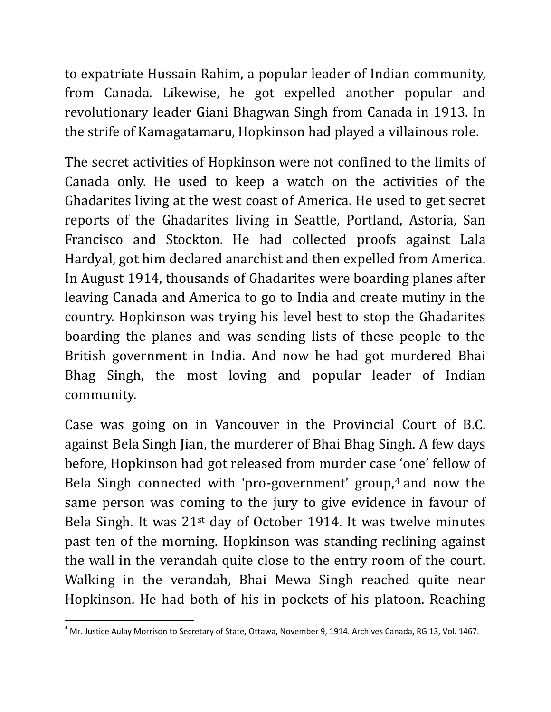to expatriate Hussain Rahim, a popular leader of Indian community, from Canada. Likewise, he got expelled another popular and revolutionary leader Giani Bhagwan Singh from Canada in 1913. In the strife of Kamagatamaru, Hopkinson had played a villainous role.

The secret activities of Hopkinson were not confined to the limits of Canada only. He used to keep a watch on the activities of the Ghadarites living at the west coast of America. He used to get secret reports of the Ghadarites living in Seattle, Portland, Astoria, San Francisco and Stockton. He had collected proofs against Lala Hardyal, got him declared anarchist and then expelled from America. In August 1914, thousands of Ghadarites were boarding planes after leaving Canada and America to go to India and create mutiny in the country. Hopkinson was trying his level best to stop the Ghadarites boarding the planes and was sending lists of these people to the British government in India. And now he had got murdered Bhai Bhag Singh, the most loving and popular leader of Indian community.

Case was going on in Vancouver in the Provincial Court of B.C. against Bela Singh Jian, the murderer of Bhai Bhag Singh. A few days before, Hopkinson had got released from murder case 'one' fellow of Bela Singh connected with 'pro-government' group,<sup>[4](#page-6-0)</sup> and now the same person was coming to the jury to give evidence in favour of Bela Singh. It was 21st day of October 1914. It was twelve minutes past ten of the morning. Hopkinson was standing reclining against the wall in the verandah quite close to the entry room of the court. Walking in the verandah, Bhai Mewa Singh reached quite near Hopkinson. He had both of his in pockets of his platoon. Reaching

<span id="page-6-0"></span> $^4$  Mr. Justice Aulay Morrison to Secretary of State, Ottawa, November 9, 1914. Archives Canada, RG 13, Vol. 1467.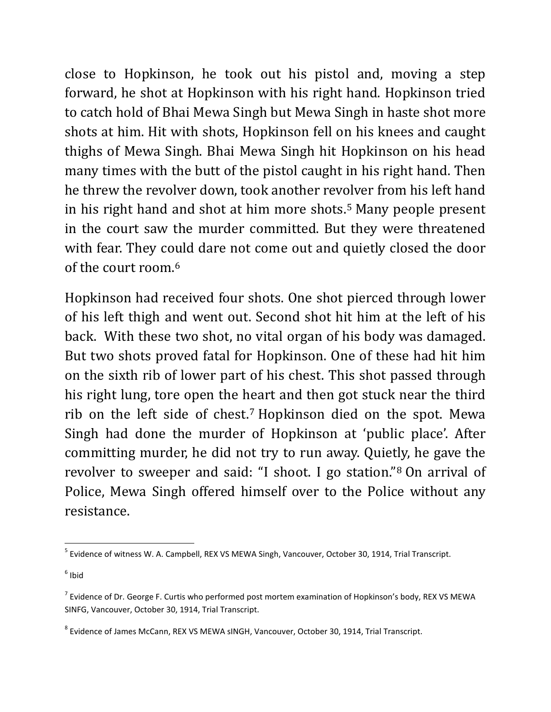close to Hopkinson, he took out his pistol and, moving a step forward, he shot at Hopkinson with his right hand. Hopkinson tried to catch hold of Bhai Mewa Singh but Mewa Singh in haste shot more shots at him. Hit with shots, Hopkinson fell on his knees and caught thighs of Mewa Singh. Bhai Mewa Singh hit Hopkinson on his head many times with the butt of the pistol caught in his right hand. Then he threw the revolver down, took another rev[ol](#page-7-0)ver from his left hand in his right hand and shot at him more shots.5 Many people present in the court saw the murder committed. But they were threatened with fear. They co[u](#page-7-1)ld dare not come out and quietly closed the door of the court room.6

Hopkinson had received four shots. One shot pierced through lower of his left thigh and went out. Second shot hit him at the left of his back. With these two shot, no vital organ of his body was damaged. But two shots proved fatal for Hopkinson. One of these had hit him on the sixth rib of lower part of his chest. This shot passed through his right lung, tore open the heart and then got stuck near the third rib on the left side of chest.[7](#page-7-2) Hopkinson died on the spot. Mewa Singh had done the murder of Hopkinson at 'public place'. After committing murder, he did not try to run away. Quietly, he gave the revolver to sweeper and said: "I shoot. I go station."[8](#page-7-3) On arrival of Police, Mewa Singh offered himself over to the Police without any resistance.

<span id="page-7-0"></span><sup>&</sup>lt;sup>5</sup> Evidence of witness W. A. Campbell, REX VS MEWA Singh, Vancouver, October 30, 1914, Trial Transcript.

<span id="page-7-1"></span> $6$  Ibid

<span id="page-7-2"></span> $<sup>7</sup>$  Evidence of Dr. George F. Curtis who performed post mortem examination of Hopkinson's body, REX VS MEWA</sup> SINFG, Vancouver, October 30, 1914, Trial Transcript.

<span id="page-7-3"></span><sup>8</sup> Evidence of James McCann, REX VS MEWA sINGH, Vancouver, October 30, 1914, Trial Transcript.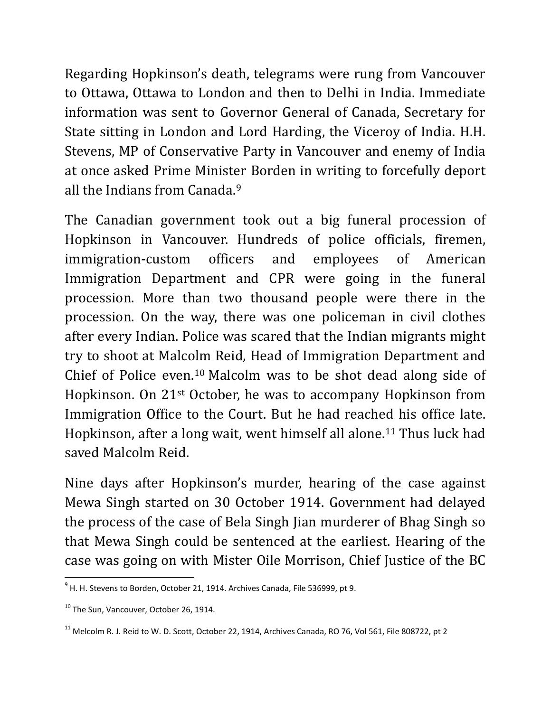Regarding Hopkinson's death, telegrams were rung from Vancouver to Ottawa, Ottawa to London and then to Delhi in India. Immediate information was sent to Governor General of Canada, Secretary for State sitting in London and Lord Harding, the Viceroy of India. H.H. Stevens, MP of Conservative Party in Vancouver and enemy of India at once asked Prime Minist[er](#page-8-0) Borden in writing to forcefully deport all the Indians from Canada.9

The Canadian government took out a big funeral procession of Hopkinson in Vancouver. Hundreds of police officials, firemen, immigration-custom officers and employees of American Immigration Department and CPR were going in the funeral procession. More than two thousand people were there in the procession. On the way, there was one policeman in civil clothes after every Indian. Police was scared that the Indian migrants might try to shoot at Malcolm Reid, Head of Immigration Department and Chief of Police even.[10](#page-8-1) Malcolm was to be shot dead along side of Hopkinson. On 21st October, he was to accompany Hopkinson from Immigration Office to the Court. But he had reached his office late. Hopkinson, after a long wait, went himself all alone.[11](#page-8-2) Thus luck had saved Malcolm Reid.

Nine days after Hopkinson's murder, hearing of the case against Mewa Singh started on 30 October 1914. Government had delayed the process of the case of Bela Singh Jian murderer of Bhag Singh so that Mewa Singh could be sentenced at the earliest. Hearing of the case was going on with Mister Oile Morrison, Chief Justice of the BC

<span id="page-8-0"></span> $9$  H. H. Stevens to Borden, October 21, 1914. Archives Canada, File 536999, pt 9.

<span id="page-8-1"></span><sup>&</sup>lt;sup>10</sup> The Sun, Vancouver, October 26, 1914.

<span id="page-8-2"></span> $^{11}$  Melcolm R. J. Reid to W. D. Scott, October 22, 1914, Archives Canada, RO 76, Vol 561, File 808722, pt 2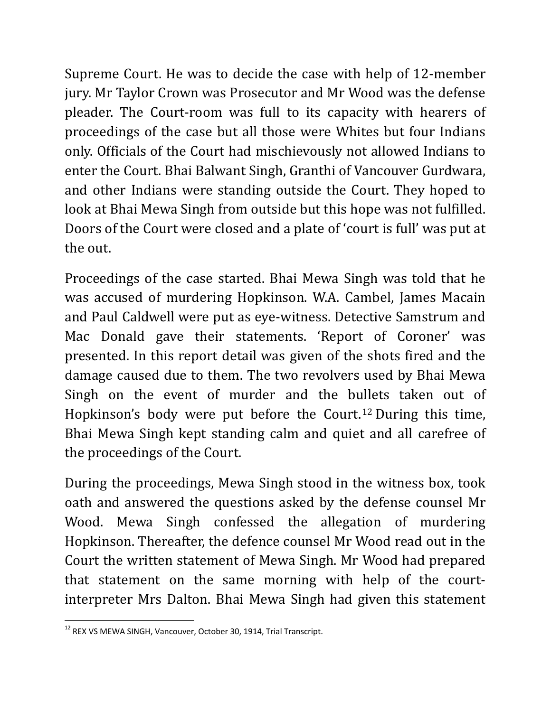Supreme Court. He was to decide the case with help of 12-member jury. Mr Taylor Crown was Prosecutor and Mr Wood was the defense pleader. The Court-room was full to its capacity with hearers of proceedings of the case but all those were Whites but four Indians only. Officials of the Court had mischievously not allowed Indians to enter the Court. Bhai Balwant Singh, Granthi of Vancouver Gurdwara, and other Indians were standing outside the Court. They hoped to look at Bhai Mewa Singh from outside but this hope was not fulfilled. Doors of the Court were closed and a plate of 'court is full' was put at the out.

Proceedings of the case started. Bhai Mewa Singh was told that he was accused of murdering Hopkinson. W.A. Cambel, James Macain and Paul Caldwell were put as eye-witness. Detective Samstrum and Mac Donald gave their statements. 'Report of Coroner' was presented. In this report detail was given of the shots fired and the damage caused due to them. The two revolvers used by Bhai Mewa Singh on the event of murder and the bullets taken out of Hopkinson's body were put before the Court.[12](#page-9-0) During this time, Bhai Mewa Singh kept standing calm and quiet and all carefree of the proceedings of the Court.

During the proceedings, Mewa Singh stood in the witness box, took oath and answered the questions asked by the defense counsel Mr Wood. Mewa Singh confessed the allegation of murdering Hopkinson. Thereafter, the defence counsel Mr Wood read out in the Court the written statement of Mewa Singh. Mr Wood had prepared that statement on the same morning with help of the courtinterpreter Mrs Dalton. Bhai Mewa Singh had given this statement

<span id="page-9-0"></span><sup>&</sup>lt;sup>12</sup> REX VS MEWA SINGH, Vancouver, October 30, 1914, Trial Transcript.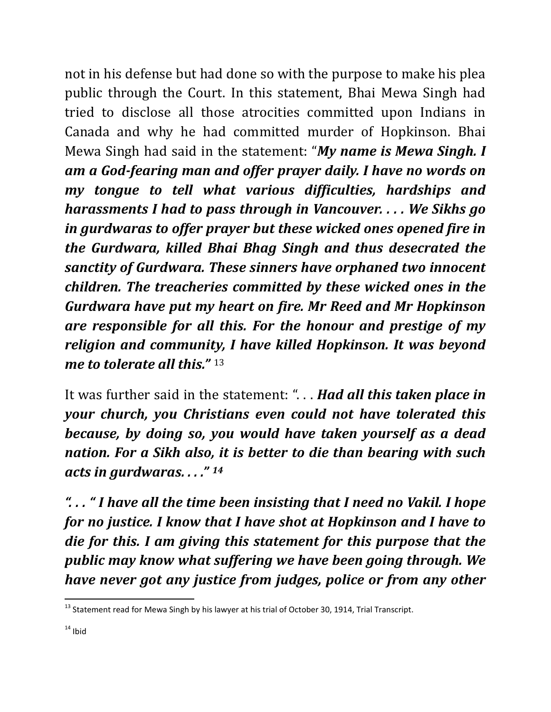not in his defense but had done so with the purpose to make his plea public through the Court. In this statement, Bhai Mewa Singh had tried to disclose all those atrocities committed upon Indians in Canada and why he had committed murder of Hopkinson. Bhai Mewa Singh had said in the statement: "*My name is Mewa Singh. I am a God-fearing man and offer prayer daily. I have no words on my tongue to tell what various difficulties, hardships and harassments I had to pass through in Vancouver. . . . We Sikhs go in gurdwaras to offer prayer but these wicked ones opened fire in the Gurdwara, killed Bhai Bhag Singh and thus desecrated the sanctity of Gurdwara. These sinners have orphaned two innocent children. The treacheries committed by these wicked ones in the Gurdwara have put my heart on fire. Mr Reed and Mr Hopkinson are responsible for all this. For the honour and prestige of my religion and community, I have killed Hopkinson. It was beyond me to tolerate all this."* [13](#page-10-0)

It was further said in the statement: ". . . *Had all this taken place in your church, you Christians even could not have tolerated this because, by doing so, you would have taken yourself as a dead nation. For a Sikh also, it is better to die than bearing with such acts in gurdwaras. . . ." [14](#page-10-1)* 

*". . . " I have all the time been insisting that I need no Vakil. I hope for no justice. I know that I have shot at Hopkinson and I have to die for this. I am giving this statement for this purpose that the public may know what suffering we have been going through. We have never got any justice from judges, police or from any other* 

<span id="page-10-1"></span><span id="page-10-0"></span><sup>&</sup>lt;sup>13</sup> Statement read for Mewa Singh by his lawyer at his trial of October 30, 1914, Trial Transcript.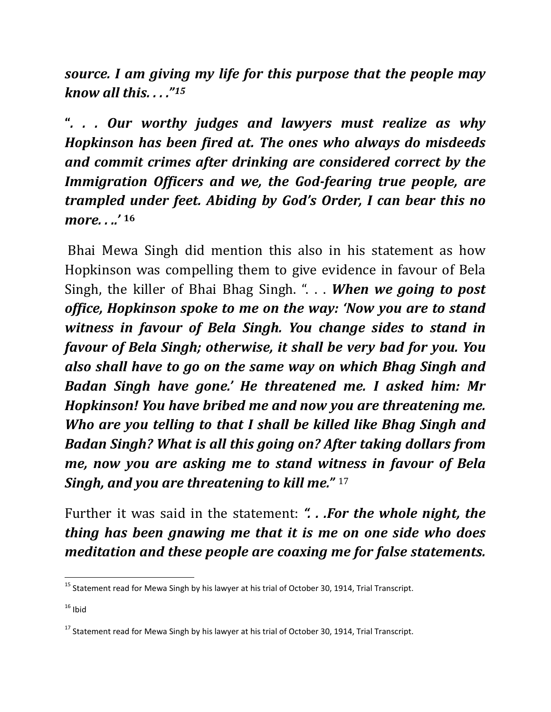*source. I am giving my life for this purpose that the people may know all this. . . ."[15](#page-11-0)*

**"***. . . Our worthy judges and lawyers must realize as why Hopkinson has been fired at. The ones who always do misdeeds and commit crimes after drinking are considered correct by the Immigration Officers and we, the God-fearing true people, are trampled under feet. Abiding by God's Order, I can bear this no more. . ..'* **[16](#page-11-1)** 

Bhai Mewa Singh did mention this also in his statement as how Hopkinson was compelling them to give evidence in favour of Bela Singh, the killer of Bhai Bhag Singh. ". . . *When we going to post office, Hopkinson spoke to me on the way: 'Now you are to stand witness in favour of Bela Singh. You change sides to stand in favour of Bela Singh; otherwise, it shall be very bad for you. You also shall have to go on the same way on which Bhag Singh and Badan Singh have gone.' He threatened me. I asked him: Mr Hopkinson! You have bribed me and now you are threatening me. Who are you telling to that I shall be killed like Bhag Singh and Badan Singh? What is all this going on? After taking dollars from me, now you are asking me to stand wi[tne](#page-11-2)ss in favour of Bela Singh, and you are threatening to kill me."* <sup>17</sup>

Further it was said in the statement: *". . .For the whole night, the thing has been gnawing me that it is me on one side who does meditation and these people are coaxing me for false statements.* 

<span id="page-11-0"></span> $15$  Statement read for Mewa Singh by his lawyer at his trial of October 30, 1914, Trial Transcript.

<span id="page-11-1"></span> $16$  Ibid

<span id="page-11-2"></span><sup>&</sup>lt;sup>17</sup> Statement read for Mewa Singh by his lawyer at his trial of October 30, 1914, Trial Transcript.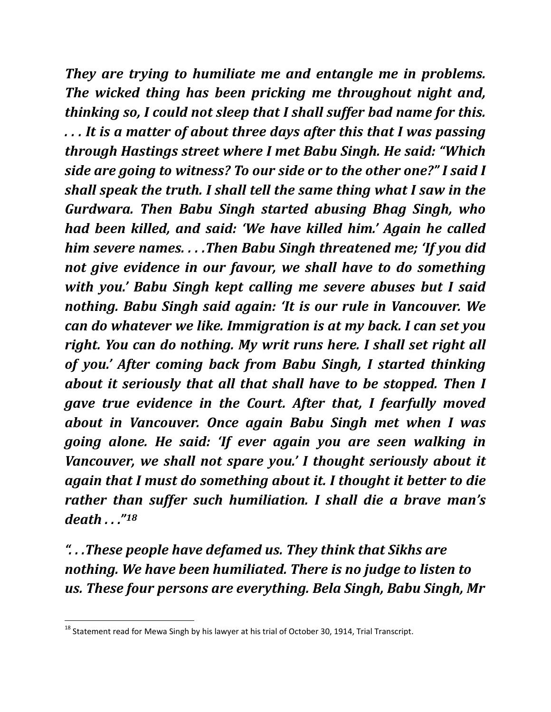*They are trying to humiliate me and entangle me in problems. The wicked thing has been pricking me throughout night and, thinking so, I could not sleep that I shall suffer bad name for this. . . . It is a matter of about three days after this that I was passing through Hastings street where I met Babu Singh. He said: "Which side are going to witness? To our side or to the other one?" I said I shall speak the truth. I shall tell the same thing what I saw in the Gurdwara. Then Babu Singh started abusing Bhag Singh, who had been killed, and said: 'We have killed him.' Again he called him severe names. . . .Then Babu Singh threatened me; 'If you did not give evidence in our favour, we shall have to do something with you.' Babu Singh kept calling me severe abuses but I said nothing. Babu Singh said again: 'It is our rule in Vancouver. We can do whatever we like. Immigration is at my back. I can set you right. You can do nothing. My writ runs here. I shall set right all of you.' After coming back from Babu Singh, I started thinking about it seriously that all that shall have to be stopped. Then I gave true evidence in the Court. After that, I fearfully moved about in Vancouver. Once again Babu Singh met when I was going alone. He said: 'If ever again you are seen walking in Vancouver, we shall not spare you.' I thought seriously about it again that I must do something about it. I thought it better to die rather than suffer such humiliation. I shall die a brave man's death . . ."[18](#page-12-0)*

*". . .These people have defamed us. They think that Sikhs are nothing. We have been humiliated. There is no judge to listen to us. These four persons are everything. Bela Singh, Babu Singh, Mr* 

<span id="page-12-0"></span><sup>&</sup>lt;sup>18</sup> Statement read for Mewa Singh by his lawyer at his trial of October 30, 1914, Trial Transcript.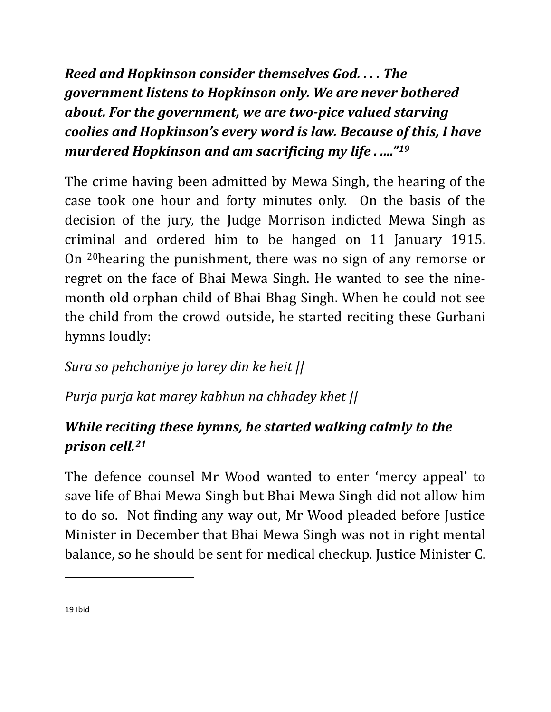*Reed and Hopkinson consider themselves God. . . . The government listens to Hopkinson only. We are never bothered about. For the government, we are two-pice valued starving coolies and Hopkinson's every word is law. Because of this, I have murdered Hopkinson and am sacrificing my life . ...."[19](#page-13-0)*

The crime having been admitted by Mewa Singh, the hearing of the case took one hour and forty minutes only. On the basis of the decision of the jury, the Judge Morrison indicted Mewa Singh as criminal and ordered him to be hanged on 11 January 1915. On [20h](#page-13-1)earing the punishment, there was no sign of any remorse or regret on the face of Bhai Mewa Singh. He wanted to see the ninemonth old orphan child of Bhai Bhag Singh. When he could not see the child from the crowd outside, he started reciting these Gurbani hymns loudly:

## *Sura so pehchaniye jo larey din ke heit ||*

*Purja purja kat marey kabhun na chhadey khet ||*

## *While reciting these hymns, he started walking calmly to the prison cell.[21](#page-13-2)*

The defence counsel Mr Wood wanted to enter 'mercy appeal' to save life of Bhai Mewa Singh but Bhai Mewa Singh did not allow him to do so. Not finding any way out, Mr Wood pleaded before Justice Minister in December that Bhai Mewa Singh was not in right mental balance, so he should be sent for medical checkup. Justice Minister C.

<span id="page-13-2"></span><span id="page-13-1"></span><span id="page-13-0"></span> $\overline{\phantom{a}}$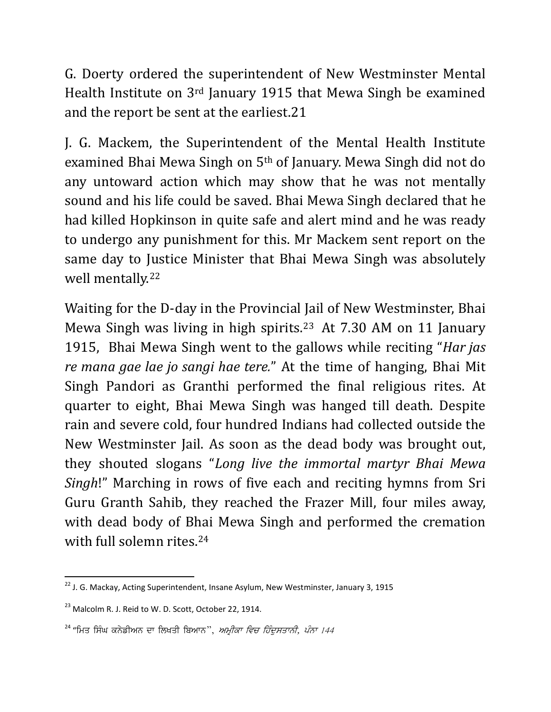G. Doerty ordered the superintendent of New Westminster Mental Health Institute on 3rd January 1915 that Mewa Singh be examined and the report be sent at the earliest.21

J. G. Mackem, the Superintendent of the Mental Health Institute examined Bhai Mewa Singh on 5th of January. Mewa Singh did not do any untoward action which may show that he was not mentally sound and his life could be saved. Bhai Mewa Singh declared that he had killed Hopkinson in quite safe and alert mind and he was ready to undergo any punishment for this. Mr Mackem sent report on the same day to Justice Minister that Bhai Mewa Singh was absolutely well mentally.[22](#page-14-0)

Waiting for the D-day in the Provincial Jail of New Westminster, Bhai Mewa Singh was living in high spirits.[23](#page-14-1) At 7.30 AM on 11 January 1915, Bhai Mewa Singh went to the gallows while reciting "*Har jas re mana gae lae jo sangi hae tere.*" At the time of hanging, Bhai Mit Singh Pandori as Granthi performed the final religious rites. At quarter to eight, Bhai Mewa Singh was hanged till death. Despite rain and severe cold, four hundred Indians had collected outside the New Westminster Jail. As soon as the dead body was brought out, they shouted slogans "*Long live the immortal martyr Bhai Mewa Singh*!" Marching in rows of five each and reciting hymns from Sri Guru Granth Sahib, they reached the Frazer Mill, four miles away, with dead body of Bhai Mewa Singh and performed the cremation with full solemn rites.[24](#page-14-2)

<span id="page-14-0"></span><sup>&</sup>lt;sup>22</sup> J. G. Mackay, Acting Superintendent, Insane Asylum, New Westminster, January 3, 1915

<span id="page-14-1"></span><sup>&</sup>lt;sup>23</sup> Malcolm R. J. Reid to W. D. Scott, October 22, 1914.

<span id="page-14-2"></span> $^{24}$  "ਮਿਤ ਸਿੰਘ ਕਨੇਡੀਅਨ ਦਾ ਲਿਖਤੀ ਬਿਆਨ'', *ਅਮੀਕਾ ਵਿਚ ਹਿੰਦਸਤਾਨੀ, ਪੰਨਾ 144*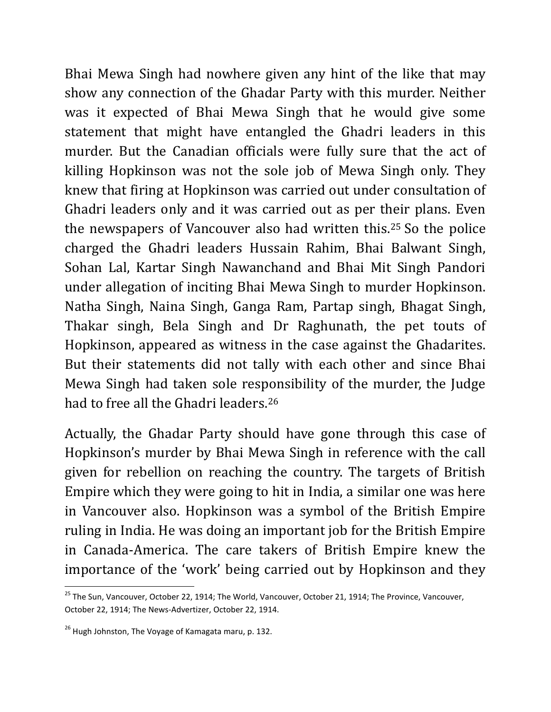Bhai Mewa Singh had nowhere given any hint of the like that may show any connection of the Ghadar Party with this murder. Neither was it expected of Bhai Mewa Singh that he would give some statement that might have entangled the Ghadri leaders in this murder. But the Canadian officials were fully sure that the act of killing Hopkinson was not the sole job of Mewa Singh only. They knew that firing at Hopkinson was carried out under consultation of Ghadri leaders only and it was carried out as per their plans. Even the newspapers of Vancouver also had written this.[25](#page-15-0) So the police charged the Ghadri leaders Hussain Rahim, Bhai Balwant Singh, Sohan Lal, Kartar Singh Nawanchand and Bhai Mit Singh Pandori under allegation of inciting Bhai Mewa Singh to murder Hopkinson. Natha Singh, Naina Singh, Ganga Ram, Partap singh, Bhagat Singh, Thakar singh, Bela Singh and Dr Raghunath, the pet touts of Hopkinson, appeared as witness in the case against the Ghadarites. But their statements did not tally with each other and since Bhai Mewa Singh had taken sole responsibility of the murder, the Judge had to free all the Ghadri leaders.<sup>[26](#page-15-1)</sup>

Actually, the Ghadar Party should have gone through this case of Hopkinson's murder by Bhai Mewa Singh in reference with the call given for rebellion on reaching the country. The targets of British Empire which they were going to hit in India, a similar one was here in Vancouver also. Hopkinson was a symbol of the British Empire ruling in India. He was doing an important job for the British Empire in Canada-America. The care takers of British Empire knew the importance of the 'work' being carried out by Hopkinson and they

<span id="page-15-0"></span><sup>&</sup>lt;sup>25</sup> The Sun, Vancouver, October 22, 1914; The World, Vancouver, October 21, 1914; The Province, Vancouver, October 22, 1914; The News-Advertizer, October 22, 1914.

<span id="page-15-1"></span> $^{26}$  Hugh Johnston, The Voyage of Kamagata maru, p. 132.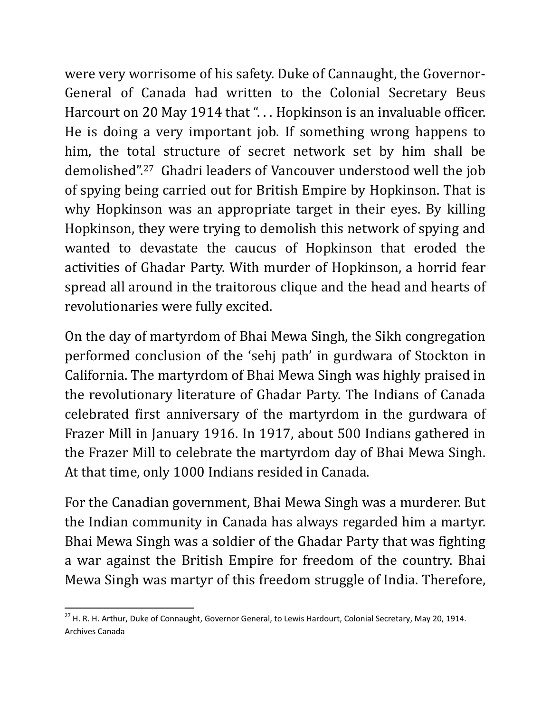were very worrisome of his safety. Duke of Cannaught, the Governor-General of Canada had written to the Colonial Secretary Beus Harcourt on 20 May 1914 that "... Hopkinson is an invaluable officer. He is doing a very important job. If something wrong happens to him, the total structure of secret network set by him shall be demolished".[27](#page-16-0) Ghadri leaders of Vancouver understood well the job of spying being carried out for British Empire by Hopkinson. That is why Hopkinson was an appropriate target in their eyes. By killing Hopkinson, they were trying to demolish this network of spying and wanted to devastate the caucus of Hopkinson that eroded the activities of Ghadar Party. With murder of Hopkinson, a horrid fear spread all around in the traitorous clique and the head and hearts of revolutionaries were fully excited.

On the day of martyrdom of Bhai Mewa Singh, the Sikh congregation performed conclusion of the 'sehj path' in gurdwara of Stockton in California. The martyrdom of Bhai Mewa Singh was highly praised in the revolutionary literature of Ghadar Party. The Indians of Canada celebrated first anniversary of the martyrdom in the gurdwara of Frazer Mill in January 1916. In 1917, about 500 Indians gathered in the Frazer Mill to celebrate the martyrdom day of Bhai Mewa Singh. At that time, only 1000 Indians resided in Canada.

For the Canadian government, Bhai Mewa Singh was a murderer. But the Indian community in Canada has always regarded him a martyr. Bhai Mewa Singh was a soldier of the Ghadar Party that was fighting a war against the British Empire for freedom of the country. Bhai Mewa Singh was martyr of this freedom struggle of India. Therefore,

<span id="page-16-0"></span><sup>&</sup>lt;sup>27</sup> H. R. H. Arthur, Duke of Connaught, Governor General, to Lewis Hardourt, Colonial Secretary, May 20, 1914. Archives Canada